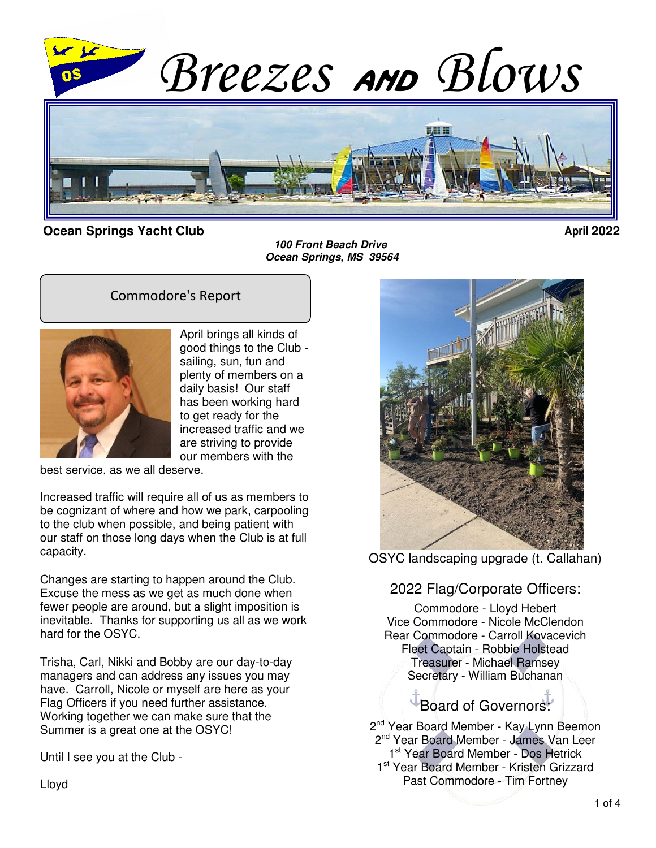

**Ocean Springs Yacht Club April 2022** 

**100 Front Beach Drive Ocean Springs, MS 39564**

#### Commodore's Report



April brings all kinds of good things to the Club sailing, sun, fun and plenty of members on a daily basis! Our staff has been working hard to get ready for the increased traffic and we are striving to provide our members with the

best service, as we all deserve.

Increased traffic will require all of us as members to be cognizant of where and how we park, carpooling to the club when possible, and being patient with our staff on those long days when the Club is at full capacity.

Changes are starting to happen around the Club. Excuse the mess as we get as much done when fewer people are around, but a slight imposition is inevitable. Thanks for supporting us all as we work hard for the OSYC.

Trisha, Carl, Nikki and Bobby are our day-to-day managers and can address any issues you may have. Carroll, Nicole or myself are here as your Flag Officers if you need further assistance. Working together we can make sure that the Summer is a great one at the OSYC!

Until I see you at the Club -



OSYC landscaping upgrade (t. Callahan)

#### 2022 Flag/Corporate Officers:

Commodore - Lloyd Hebert Vice Commodore - Nicole McClendon Rear Commodore - Carroll Kovacevich Fleet Captain - Robbie Holstead Treasurer - Michael Ramsey Secretary - William Buchanan

Board of Governors:

2<sup>nd</sup> Year Board Member - Kay Lynn Beemon 2<sup>nd</sup> Year Board Member - James Van Leer 1st Year Board Member - Dos Hetrick 1<sup>st</sup> Year Board Member - Kristen Grizzard Past Commodore - Tim Fortney

Lloyd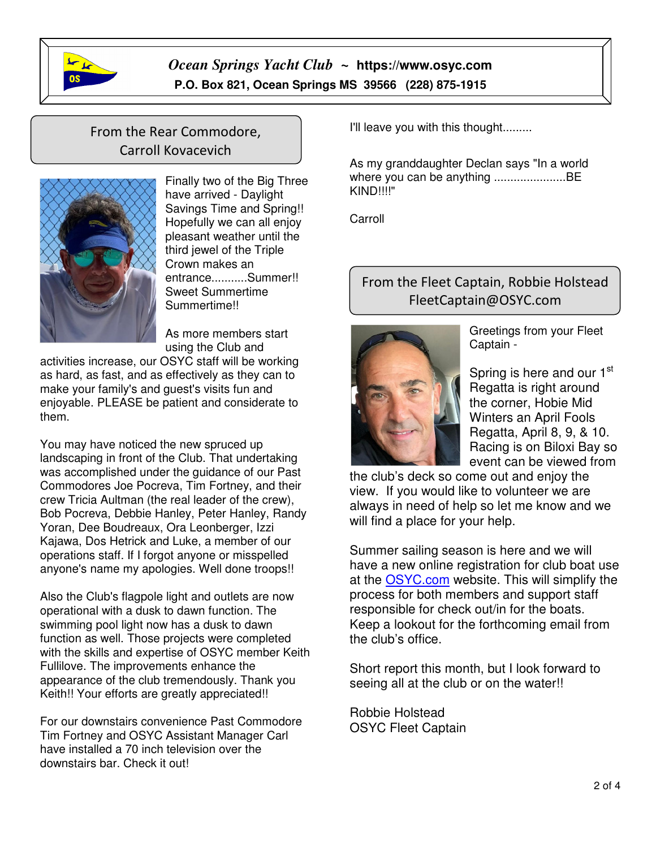

*Ocean Springs Yacht Club ~* **https://www.osyc.com** **P.O. Box 821, Ocean Springs MS 39566 (228) 875-1915** 

# From the Rear Commodore, Carroll Kovacevich



Finally two of the Big Three have arrived - Daylight Savings Time and Spring!! Hopefully we can all enjoy pleasant weather until the third jewel of the Triple Crown makes an entrance...........Summer!! Sweet Summertime Summertime!!

As more members start using the Club and

activities increase, our OSYC staff will be working as hard, as fast, and as effectively as they can to make your family's and guest's visits fun and enjoyable. PLEASE be patient and considerate to them.

You may have noticed the new spruced up landscaping in front of the Club. That undertaking was accomplished under the guidance of our Past Commodores Joe Pocreva, Tim Fortney, and their crew Tricia Aultman (the real leader of the crew), Bob Pocreva, Debbie Hanley, Peter Hanley, Randy Yoran, Dee Boudreaux, Ora Leonberger, Izzi Kajawa, Dos Hetrick and Luke, a member of our operations staff. If I forgot anyone or misspelled anyone's name my apologies. Well done troops!!

Also the Club's flagpole light and outlets are now operational with a dusk to dawn function. The swimming pool light now has a dusk to dawn function as well. Those projects were completed with the skills and expertise of OSYC member Keith Fullilove. The improvements enhance the appearance of the club tremendously. Thank you Keith!! Your efforts are greatly appreciated!!

For our downstairs convenience Past Commodore Tim Fortney and OSYC Assistant Manager Carl have installed a 70 inch television over the downstairs bar. Check it out!

I'll leave you with this thought.........

As my granddaughter Declan says "In a world where you can be anything ......................BE KIND!!!!"

Carroll

 $\overline{1}$ 

# From the Fleet Captain, Robbie Holstead FleetCaptain@OSYC.com



Greetings from your Fleet Captain -

Spring is here and our  $1<sup>st</sup>$ Regatta is right around the corner, Hobie Mid Winters an April Fools Regatta, April 8, 9, & 10. Racing is on Biloxi Bay so event can be viewed from

the club's deck so come out and enjoy the view. If you would like to volunteer we are always in need of help so let me know and we will find a place for your help.

Summer sailing season is here and we will have a new online registration for club boat use at the OSYC.com website. This will simplify the process for both members and support staff responsible for check out/in for the boats. Keep a lookout for the forthcoming email from the club's office.

Short report this month, but I look forward to seeing all at the club or on the water!!

Robbie Holstead OSYC Fleet Captain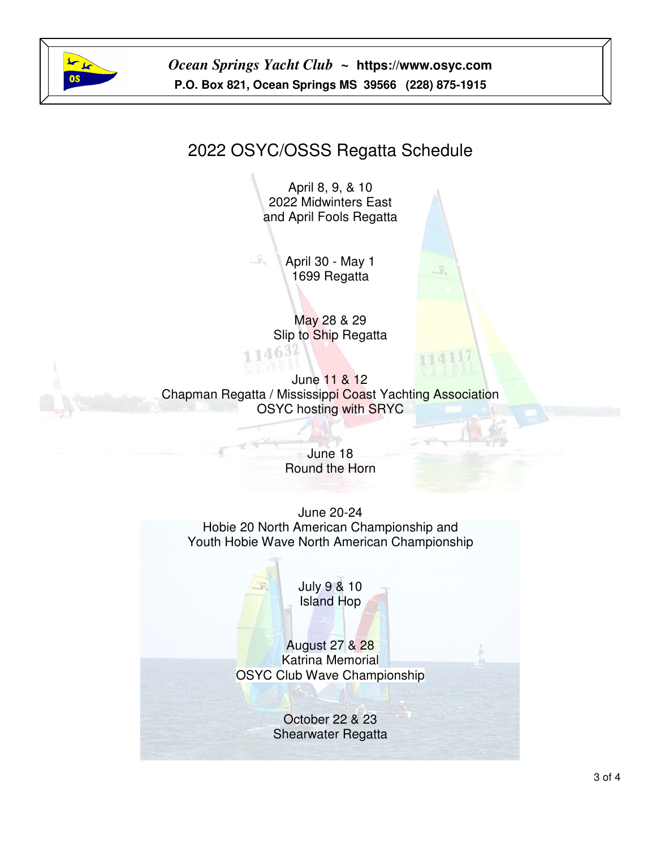

*Ocean Springs Yacht Club ~* **https://www.osyc.com** **P.O. Box 821, Ocean Springs MS 39566 (228) 875-1915** 

# 2022 OSYC/OSSS Regatta Schedule

April 8, 9, & 10 2022 Midwinters East and April Fools Regatta

 $\tilde{\chi}$  . April 30 - May 1 1699 Regatta

> May 28 & 29 Slip to Ship Regatta

June 11 & 12 Chapman Regatta / Mississippi Coast Yachting Association OSYC hosting with SRYC

> June 18 Round the Horn

June 20-24 Hobie 20 North American Championship and Youth Hobie Wave North American Championship

> July 9 & 10 Island Hop

August 27 & 28 Katrina Memorial OSYC Club Wave Championship

> October 22 & 23 Shearwater Regatta